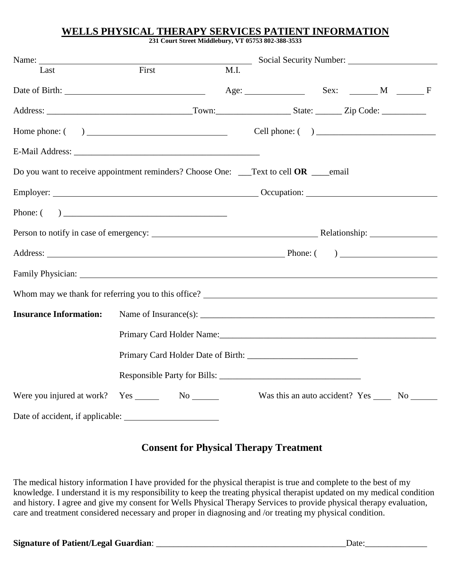### **WELLS PHYSICAL THERAPY SERVICES PATIENT INFORMATION**

**231 Court Street Middlebury, VT 05753 802-388-3533**

| Name:                                                                                                                                                                                                                          |       |      | Social Security Number:                                                                                        |  |  |
|--------------------------------------------------------------------------------------------------------------------------------------------------------------------------------------------------------------------------------|-------|------|----------------------------------------------------------------------------------------------------------------|--|--|
| Last                                                                                                                                                                                                                           | First | M.I. |                                                                                                                |  |  |
|                                                                                                                                                                                                                                |       |      | Age: Sex: M F                                                                                                  |  |  |
|                                                                                                                                                                                                                                |       |      |                                                                                                                |  |  |
|                                                                                                                                                                                                                                |       |      |                                                                                                                |  |  |
|                                                                                                                                                                                                                                |       |      |                                                                                                                |  |  |
| Do you want to receive appointment reminders? Choose One: __Text to cell OR ___email                                                                                                                                           |       |      |                                                                                                                |  |  |
| Employer: Contract Contract Contract Contract Contract Contract Contract Contract Contract Contract Contract Contract Contract Contract Contract Contract Contract Contract Contract Contract Contract Contract Contract Contr |       |      |                                                                                                                |  |  |
| Phone: $\begin{pmatrix} 0 & 1 \\ 0 & 1 \end{pmatrix}$                                                                                                                                                                          |       |      |                                                                                                                |  |  |
|                                                                                                                                                                                                                                |       |      |                                                                                                                |  |  |
| Address: Phone: ()                                                                                                                                                                                                             |       |      |                                                                                                                |  |  |
|                                                                                                                                                                                                                                |       |      |                                                                                                                |  |  |
|                                                                                                                                                                                                                                |       |      |                                                                                                                |  |  |
| <b>Insurance Information:</b>                                                                                                                                                                                                  |       |      |                                                                                                                |  |  |
|                                                                                                                                                                                                                                |       |      | Primary Card Holder Name: 1988 Manual Manual Manual Manual Manual Manual Manual Manual Manual Manual Manual Ma |  |  |
|                                                                                                                                                                                                                                |       |      |                                                                                                                |  |  |
|                                                                                                                                                                                                                                |       |      |                                                                                                                |  |  |
| Were you injured at work? Yes No No No                                                                                                                                                                                         |       |      | Was this an auto accident? Yes _______ No                                                                      |  |  |
|                                                                                                                                                                                                                                |       |      |                                                                                                                |  |  |

### **Consent for Physical Therapy Treatment**

The medical history information I have provided for the physical therapist is true and complete to the best of my knowledge. I understand it is my responsibility to keep the treating physical therapist updated on my medical condition and history. I agree and give my consent for Wells Physical Therapy Services to provide physical therapy evaluation, care and treatment considered necessary and proper in diagnosing and /or treating my physical condition.

| <b>Signature of Patient/Legal Guardian:</b> |  |  |
|---------------------------------------------|--|--|
|---------------------------------------------|--|--|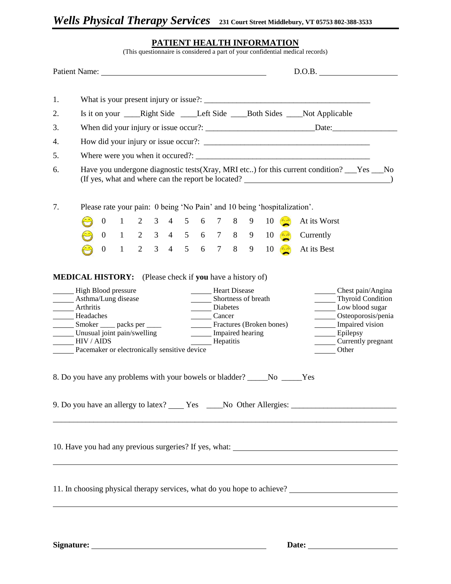#### **PATIENT HEALTH INFORMATION**

(This questionnaire is considered a part of your confidential medical records)

|                                                                                                                                                                                                                                                                                                                                                                                                                                                                  | Patient Name:                                                                            |                |                                     |  |  |  |  |  |  |  |                       | D.O.B.                                                                      |
|------------------------------------------------------------------------------------------------------------------------------------------------------------------------------------------------------------------------------------------------------------------------------------------------------------------------------------------------------------------------------------------------------------------------------------------------------------------|------------------------------------------------------------------------------------------|----------------|-------------------------------------|--|--|--|--|--|--|--|-----------------------|-----------------------------------------------------------------------------|
| 1.                                                                                                                                                                                                                                                                                                                                                                                                                                                               |                                                                                          |                |                                     |  |  |  |  |  |  |  |                       |                                                                             |
| 2.                                                                                                                                                                                                                                                                                                                                                                                                                                                               |                                                                                          |                |                                     |  |  |  |  |  |  |  |                       | Is it on your ____Right Side ____Left Side ____Both Sides ___Not Applicable |
| 3.                                                                                                                                                                                                                                                                                                                                                                                                                                                               |                                                                                          |                |                                     |  |  |  |  |  |  |  |                       |                                                                             |
| 4.                                                                                                                                                                                                                                                                                                                                                                                                                                                               |                                                                                          |                |                                     |  |  |  |  |  |  |  |                       |                                                                             |
| 5.                                                                                                                                                                                                                                                                                                                                                                                                                                                               |                                                                                          |                |                                     |  |  |  |  |  |  |  |                       |                                                                             |
| 6.                                                                                                                                                                                                                                                                                                                                                                                                                                                               | Have you undergone diagnostic tests (Xray, MRI etc) for this current condition? These No |                |                                     |  |  |  |  |  |  |  |                       |                                                                             |
| 7.                                                                                                                                                                                                                                                                                                                                                                                                                                                               |                                                                                          |                |                                     |  |  |  |  |  |  |  |                       | Please rate your pain: 0 being 'No Pain' and 10 being 'hospitalization'.    |
|                                                                                                                                                                                                                                                                                                                                                                                                                                                                  |                                                                                          | $\overline{0}$ | 1 2 3 4 5 6 7 8 9                   |  |  |  |  |  |  |  | $10 \left( 6 \right)$ | At its Worst                                                                |
|                                                                                                                                                                                                                                                                                                                                                                                                                                                                  |                                                                                          |                |                                     |  |  |  |  |  |  |  |                       | 0 1 2 3 4 5 6 7 8 9 10 $\approx$ Currently                                  |
|                                                                                                                                                                                                                                                                                                                                                                                                                                                                  |                                                                                          | $\mathbf{0}$   | $1 \t2 \t3 \t4 \t5 \t6 \t7 \t8 \t9$ |  |  |  |  |  |  |  | $10 \leftrightarrow$  | At its Best                                                                 |
| High Blood pressure<br>Heart Disease<br>Asthma/Lung disease<br>Shortness of breath<br>Thyroid Condition<br>Low blood sugar<br>Arthritis<br>Diabetes<br>Osteoporosis/penia<br>Headaches<br>Cancer<br>_______ Smoker _____ packs per _____<br>Impaired vision<br>Fractures (Broken bones)<br>Unusual joint pain/swelling<br>Impaired hearing<br>Epilepsy<br>Currently pregnant<br>IIIV/ AIDS<br>Hepatitis<br>Pacemaker or electronically sensitive device<br>Other |                                                                                          |                |                                     |  |  |  |  |  |  |  |                       |                                                                             |
| 8. Do you have any problems with your bowels or bladder? ______No _____Yes                                                                                                                                                                                                                                                                                                                                                                                       |                                                                                          |                |                                     |  |  |  |  |  |  |  |                       |                                                                             |
| 9. Do you have an allergy to latex? ______ Yes ______No Other Allergies: ___________________________                                                                                                                                                                                                                                                                                                                                                             |                                                                                          |                |                                     |  |  |  |  |  |  |  |                       |                                                                             |
|                                                                                                                                                                                                                                                                                                                                                                                                                                                                  |                                                                                          |                |                                     |  |  |  |  |  |  |  |                       |                                                                             |
| 11. In choosing physical therapy services, what do you hope to achieve? ____________________________                                                                                                                                                                                                                                                                                                                                                             |                                                                                          |                |                                     |  |  |  |  |  |  |  |                       |                                                                             |
|                                                                                                                                                                                                                                                                                                                                                                                                                                                                  |                                                                                          |                |                                     |  |  |  |  |  |  |  |                       |                                                                             |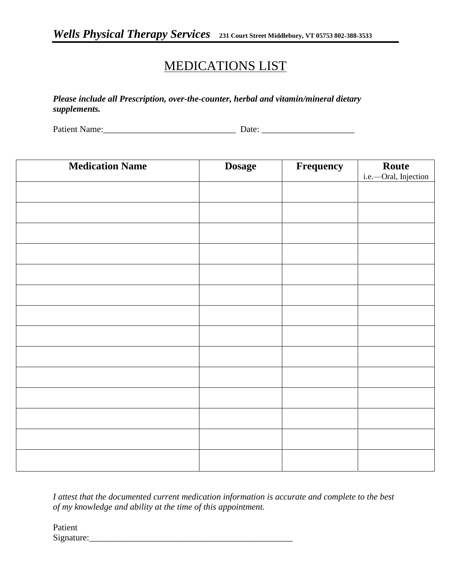# MEDICATIONS LIST

*Please include all Prescription, over-the-counter, herbal and vitamin/mineral dietary supplements.*

Patient Name:\_\_\_\_\_\_\_\_\_\_\_\_\_\_\_\_\_\_\_\_\_\_\_\_\_\_\_\_\_\_ Date: \_\_\_\_\_\_\_\_\_\_\_\_\_\_\_\_\_\_\_\_\_

| <b>Medication Name</b> | <b>Dosage</b> | Frequency | Route<br>i.e.---Oral, Injection |
|------------------------|---------------|-----------|---------------------------------|
|                        |               |           |                                 |
|                        |               |           |                                 |
|                        |               |           |                                 |
|                        |               |           |                                 |
|                        |               |           |                                 |
|                        |               |           |                                 |
|                        |               |           |                                 |
|                        |               |           |                                 |
|                        |               |           |                                 |
|                        |               |           |                                 |
|                        |               |           |                                 |
|                        |               |           |                                 |
|                        |               |           |                                 |
|                        |               |           |                                 |

*I attest that the documented current medication information is accurate and complete to the best of my knowledge and ability at the time of this appointment.*

Patient Signature: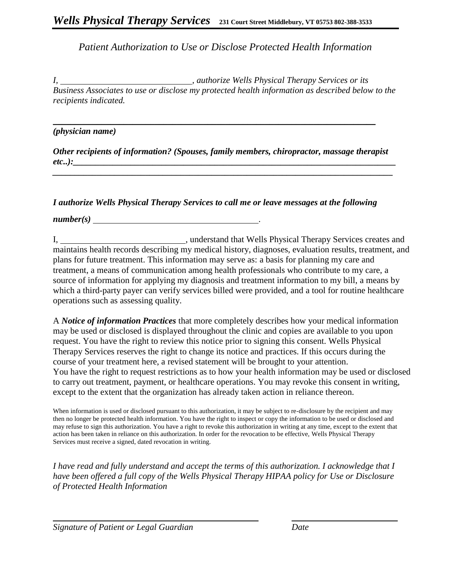*Patient Authorization to Use or Disclose Protected Health Information*

*I, , authorize Wells Physical Therapy Services or its Business Associates to use or disclose my protected health information as described below to the recipients indicated.*

### *(physician name)*

*Other recipients of information? (Spouses, family members, chiropractor, massage therapist etc..):\_\_\_\_\_\_\_\_\_\_\_\_\_\_\_\_\_\_\_\_\_\_\_\_\_\_\_\_\_\_\_\_\_\_\_\_\_\_\_\_\_\_\_\_\_\_\_\_\_\_\_\_\_\_\_\_\_\_\_\_\_\_\_\_\_\_\_\_\_\_\_\_\_ \_\_\_\_\_\_\_\_\_\_\_\_\_\_\_\_\_\_\_\_\_\_\_\_\_\_\_\_\_\_\_\_\_\_\_\_\_\_\_\_\_\_\_\_\_\_\_\_\_\_\_\_\_\_\_\_\_\_\_\_\_\_\_\_\_\_\_\_\_\_\_\_\_\_\_\_\_*

\_\_\_\_\_\_\_\_\_\_\_\_\_\_\_\_\_\_\_\_\_\_\_\_\_\_\_\_\_\_\_\_\_\_\_\_\_\_\_\_\_\_\_\_\_\_\_\_\_\_\_\_\_\_\_\_\_\_\_\_\_\_\_\_\_\_\_\_\_\_\_\_\_

### *I authorize Wells Physical Therapy Services to call me or leave messages at the following*

*number(s)* .

I, superstand that Wells Physical Therapy Services creates and maintains health records describing my medical history, diagnoses, evaluation results, treatment, and plans for future treatment. This information may serve as: a basis for planning my care and treatment, a means of communication among health professionals who contribute to my care, a source of information for applying my diagnosis and treatment information to my bill, a means by which a third-party payer can verify services billed were provided, and a tool for routine healthcare operations such as assessing quality.

A *Notice of information Practices* that more completely describes how your medical information may be used or disclosed is displayed throughout the clinic and copies are available to you upon request. You have the right to review this notice prior to signing this consent. Wells Physical Therapy Services reserves the right to change its notice and practices. If this occurs during the course of your treatment here, a revised statement will be brought to your attention. You have the right to request restrictions as to how your health information may be used or disclosed to carry out treatment, payment, or healthcare operations. You may revoke this consent in writing, except to the extent that the organization has already taken action in reliance thereon.

When information is used or disclosed pursuant to this authorization, it may be subject to re-disclosure by the recipient and may then no longer be protected health information. You have the right to inspect or copy the information to be used or disclosed and may refuse to sign this authorization. You have a right to revoke this authorization in writing at any time, except to the extent that action has been taken in reliance on this authorization. In order for the revocation to be effective, Wells Physical Therapy Services must receive a signed, dated revocation in writing.

*I have read and fully understand and accept the terms of this authorization. I acknowledge that I have been offered a full copy of the Wells Physical Therapy HIPAA policy for Use or Disclosure of Protected Health Information*